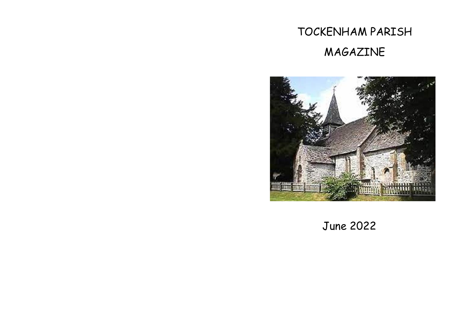# TOCKENHAM PARISH MAGAZINE



June 2022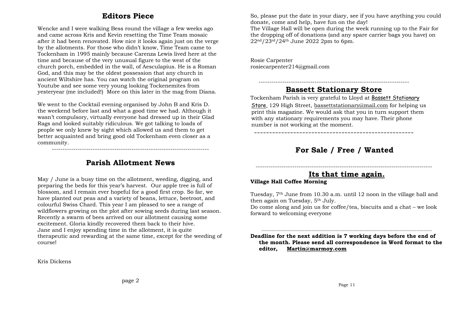#### **Editors Piece**

Wencke and I were walking Bess round the village a few weeks ago and came across Kris and Kevin resetting the Time Team mosaic after it had been renovated. How nice it looks again just on the verge by the allotments. For those who didn't know, Time Team came to Tockenham in 1995 mainly because Carenza Lewis lived here at the time and because of the very unusual figure to the west of the church porch, embedded in the wall, of Aesculapius. He is a Roman God, and this may be the oldest possession that any church in ancient Wiltshire has. You can watch the original program on Youtube and see some very young looking Tockenemites from yesteryear (me included!) More on this later in the mag from Diana.

We went to the Cocktail evening organised by John B and Kris D. the weekend before last and what a good time we had. Although it wasn't compulsory, virtually everyone had dressed up in their Glad Rags and looked suitably ridiculous. We got talking to loads of people we only knew by sight which allowed us and them to get better acquainted and bring good old Tockenham even closer as a community.

## **Parish Allotment News**

-------------------------------------------------------------------------

May / June is a busy time on the allotment, weeding, digging, and preparing the beds for this year's harvest. Our apple tree is full of blossom, and I remain ever hopeful for a good first crop. So far, we have planted out peas and a variety of beans, lettuce, beetroot, and colourful Swiss Chard. This year I am pleased to see a range of wildflowers growing on the plot after sowing seeds during last season. Recently a swarm of bees arrived on our allotment causing some excitement. Gloria kindly recovered them back to their hive. Jane and I enjoy spending time in the allotment, it is quite therapeutic and rewarding at the same time, except for the weeding of course!

Kris Dickens

So, please put the date in your diary, see if you have anything you could donate, come and help, have fun on the day!

The Village Hall will be open during the week running up to the Fair for the dropping off of donations (and any spare carrier bags you have) on 22nd/23rd/24th June 2022 2pm to 6pm.

Rosie Carpenter rosiecarpenter214@gmail.com

#### ---------------------------------------------------------------------- **Bassett Stationary Store**

Tockenham Parish is very grateful to Lloyd at Bassett Stationary Store, 129 High Street, [bassettstationary@mail.com](mailto:bassettstationary@mail.com) for helping us print this magazine. We would ask that you in turn support them with any stationary requirements you may have. Their phone number is not working at the moment.

-----------------------------------------------------

## **For Sale / Free / Wanted**

## ---------------------------------------------------------------------------------- **Its that time again.**

#### **Village Hall Coffee Morning**

Tuesday, 7th June from 10.30 a.m. until 12 noon in the village hall and then again on Tuesday, 5th July.

Do come along and join us for coffee/tea, biscuits and a chat – we look forward to welcoming everyone

**Deadline for the next addition is 7 working days before the end of the month. Please send all correspondence in Word format to the editor, [Martin@marmoy.com](mailto:Martin@marmoy.com)**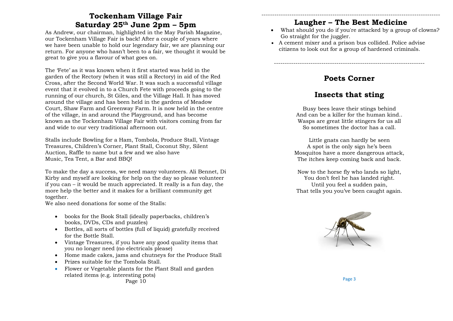## **Tockenham Village Fair Saturday 25th June 2pm – 5pm**

As Andrew, our chairman, highlighted in the May Parish Magazine, our Tockenham Village Fair is back! After a couple of years where we have been unable to hold our legendary fair, we are planning our return. For anyone who hasn't been to a fair, we thought it would be great to give you a flavour of what goes on.

The 'Fete' as it was known when it first started was held in the garden of the Rectory (when it was still a Rectory) in aid of the Red Cross, after the Second World War. It was such a successful village event that it evolved in to a Church Fete with proceeds going to the running of our church, St Giles, and the Village Hall. It has moved around the village and has been held in the gardens of Meadow Court, Shaw Farm and Greenway Farm. It is now held in the centre of the village, in and around the Playground, and has become known as the Tockenham Village Fair with visitors coming from far and wide to our very traditional afternoon out.

Stalls include Bowling for a Ham, Tombola, Produce Stall, Vintage Treasures, Children's Corner, Plant Stall, Coconut Shy, Silent Auction, Raffle to name but a few and we also have Music, Tea Tent, a Bar and BBQ!

To make the day a success, we need many volunteers. Ali Bennet, Di Kirby and myself are looking for help on the day so please volunteer if you can – it would be much appreciated. It really is a fun day, the more help the better and it makes for a brilliant community get together.

We also need donations for some of the Stalls:

- books for the Book Stall (ideally paperbacks, children's books, DVDs, CDs and puzzles)
- Bottles, all sorts of bottles (full of liquid) gratefully received for the Bottle Stall.
- Vintage Treasures, if you have any good quality items that you no longer need (no electricals please)
- Home made cakes, jams and chutneys for the Produce Stall
- Prizes suitable for the Tombola Stall.
- Flower or Vegetable plants for the Plant Stall and garden related items (e.g. interesting pots) Page 10

#### ----------------------------------------------------------------------------------- **Laugher – The Best Medicine**

- What should you do if you're attacked by a group of clowns? Go straight for the juggler.
- A cement mixer and a prison bus collided. Police advise citizens to look out for a group of hardened criminals.

**Poets Corner**

----------------------------------------------------------------------

## **Insects that sting**

Busy bees leave their stings behind And can be a killer for the human kind.. Wasps are great little stingers for us all So sometimes the doctor has a call.

Little gnats can hardly be seen A spot is the only sign he's been Mosquitos have a more dangerous attack, The itches keep coming back and back.

Now to the horse fly who lands so light, You don't feel he has landed right. Until you feel a sudden pain, That tells you you've been caught again.

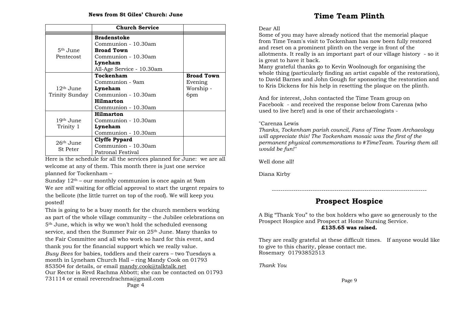|                                | <b>Church Service</b>     |                   |
|--------------------------------|---------------------------|-------------------|
|                                | <b>Bradenstoke</b>        |                   |
|                                | Communion - 10.30am       |                   |
| 5 <sup>th</sup> June           | <b>Broad Town</b>         |                   |
| Pentecost                      | Communion - 10.30am       |                   |
|                                | Lyneham                   |                   |
|                                | All-Age Service - 10.30am |                   |
|                                | Tockenham                 | <b>Broad Town</b> |
|                                | Communion - 9am           | Evening           |
| 12 <sup>th</sup> June          | Lyneham                   | Worship -         |
| Trinity Sunday                 | Communion - 10.30am       | 6pm               |
|                                | <b>Hilmarton</b>          |                   |
|                                | Communion - 10.30am       |                   |
| 19th June<br>Trinity 1         | <b>Hilmarton</b>          |                   |
|                                | Communion - 10.30am       |                   |
|                                | Lyneham                   |                   |
|                                | Communion - 10.30am       |                   |
| $26th$ June<br><b>St</b> Peter | Clyffe Pypard             |                   |
|                                | Communion - 10.30am       |                   |
|                                | Patronal Festival         |                   |

Here is the schedule for all the services planned for June: we are all welcome at any of them. This month there is just one service planned for Tockenham –

Sunday  $12<sup>th</sup>$  – our monthly communion is once again at 9am We are *still* waiting for official approval to start the urgent repairs to the bellcote (the little turret on top of the roof). We will keep you posted!

This is going to be a busy month for the church members working as part of the whole village community – the Jubilee celebrations on 5th June, which is why we won't hold the scheduled evensong service, and then the Summer Fair on 25<sup>th</sup> June. Many thanks to the Fair Committee and all who work so hard for this event, and thank you for the financial support which we really value. *Busy Bees* for babies, toddlers and their carers – two Tuesdays a month in Lyneham Church Hall – ring Mandy Cook on 01793 853504 for details, or email [mandy.cook@talktalk.net](mailto:mandy.cook@talktalk.net) Our Rector is Revd Rachma Abbott; she can be contacted on 01793 731114 or email reverendrachma@gmail.com Page 4

#### Dear All

Some of you may have already noticed that the memorial plaque from Time Team's visit to Tockenham has now been fully restored and reset on a prominent plinth on the verge in front of the allotments. It really is an important part of our village history - so it is great to have it back.

Many grateful thanks go to Kevin Woolnough for organising the whole thing (particularly finding an artist capable of the restoration), to David Barnes and John Gough for sponsoring the restoration and to Kris Dickens for his help in resetting the plaque on the plinth.

And for interest, John contacted the Time Team group on Facebook - and received the response below from Carenza (who used to live here!) and is one of their archaeologists -

#### "Carenza Lewis

*Thanks, Tockenham parish council, Fans of Time Team Archaeology will appreciate this! The Tockenham mosaic was the first of the permanent physical commemorations to #TimeTeam. Touring them all would be fun!"*

Well done all!

Diana Kirby

# **Prospect Hospice**

------------------------------------------------------------------------

A Big "Thank You" to the box holders who gave so generously to the Prospect Hospice and Prospect at Home Nursing Service. **£135.65 was raised.**

They are really grateful at these difficult times. If anyone would like to give to this charity, please contact me. Rosemary 01793852513

*Thank You*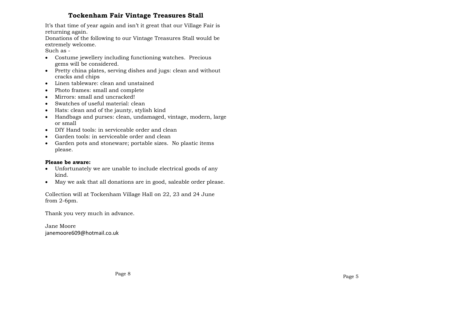#### **Tockenham Fair Vintage Treasures Stall**

It's that time of year again and isn't it great that our Village Fair is returning again.

Donations of the following to our Vintage Treasures Stall would be extremely welcome.

Such as -

- Costume jewellery including functioning watches. Precious gems will be considered.
- Pretty china plates, serving dishes and jugs: clean and without cracks and chips
- Linen tableware: clean and unstained
- Photo frames: small and complete
- Mirrors: small and uncracked!
- Swatches of useful material: clean
- Hats: clean and of the jaunty, stylish kind
- Handbags and purses: clean, undamaged, vintage, modern, large or small
- DIY Hand tools: in serviceable order and clean
- Garden tools: in serviceable order and clean
- Garden pots and stoneware; portable sizes. No plastic items please.

#### **Please be aware:**

- Unfortunately we are unable to include electrical goods of any kind.
- May we ask that all donations are in good, saleable order please.

Collection will at Tockenham Village Hall on 22, 23 and 24 June from 2-6pm.

Thank you very much in advance.

Jane Moore janemoore609@hotmail.co.uk